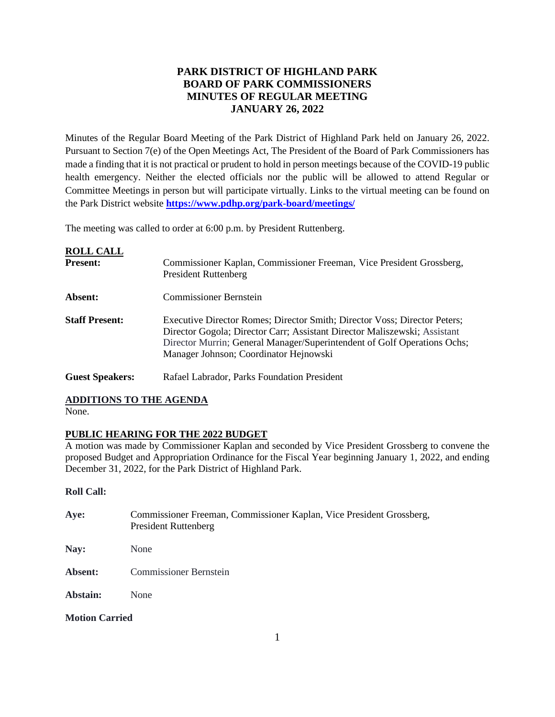# **PARK DISTRICT OF HIGHLAND PARK BOARD OF PARK COMMISSIONERS MINUTES OF REGULAR MEETING JANUARY 26, 2022**

Minutes of the Regular Board Meeting of the Park District of Highland Park held on January 26, 2022. Pursuant to Section 7(e) of the Open Meetings Act, The President of the Board of Park Commissioners has made a finding that it is not practical or prudent to hold in person meetings because of the COVID-19 public health emergency. Neither the elected officials nor the public will be allowed to attend Regular or Committee Meetings in person but will participate virtually. Links to the virtual meeting can be found on the Park District website **<https://www.pdhp.org/park-board/meetings/>**

The meeting was called to order at 6:00 p.m. by President Ruttenberg.

Guest Speakers: Rafael Labrador, Parks Foundation President

| <b>ROLL CALL</b><br><b>Present:</b> | Commissioner Kaplan, Commissioner Freeman, Vice President Grossberg,<br><b>President Ruttenberg</b>                                                                                                                                                                          |
|-------------------------------------|------------------------------------------------------------------------------------------------------------------------------------------------------------------------------------------------------------------------------------------------------------------------------|
| Absent:                             | <b>Commissioner Bernstein</b>                                                                                                                                                                                                                                                |
| <b>Staff Present:</b>               | Executive Director Romes; Director Smith; Director Voss; Director Peters;<br>Director Gogola; Director Carr; Assistant Director Maliszewski; Assistant<br>Director Murrin; General Manager/Superintendent of Golf Operations Ochs;<br>Manager Johnson; Coordinator Hejnowski |

# **ADDITIONS TO THE AGENDA**

None.

## **PUBLIC HEARING FOR THE 2022 BUDGET**

A motion was made by Commissioner Kaplan and seconded by Vice President Grossberg to convene the proposed Budget and Appropriation Ordinance for the Fiscal Year beginning January 1, 2022, and ending December 31, 2022, for the Park District of Highland Park.

## **Roll Call:**

| Aye:                  | Commissioner Freeman, Commissioner Kaplan, Vice President Grossberg,<br><b>President Ruttenberg</b> |
|-----------------------|-----------------------------------------------------------------------------------------------------|
| Nay:                  | None                                                                                                |
| Absent:               | <b>Commissioner Bernstein</b>                                                                       |
| Abstain:              | None                                                                                                |
| <b>Motion Carried</b> |                                                                                                     |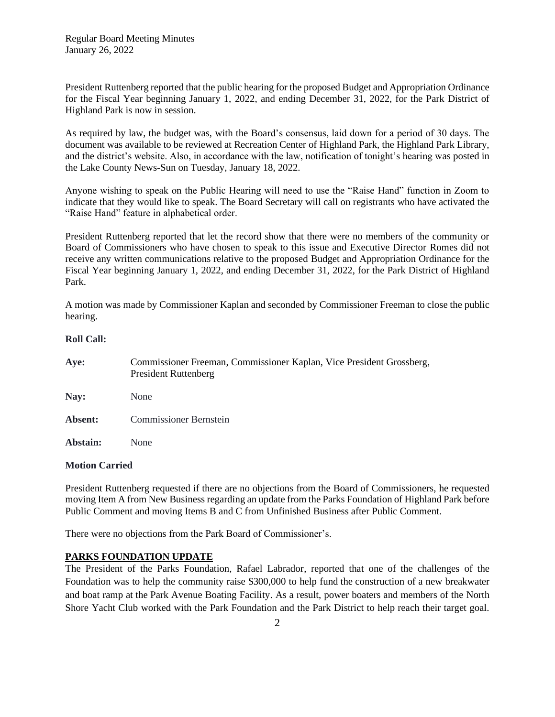President Ruttenberg reported that the public hearing for the proposed Budget and Appropriation Ordinance for the Fiscal Year beginning January 1, 2022, and ending December 31, 2022, for the Park District of Highland Park is now in session.

As required by law, the budget was, with the Board's consensus, laid down for a period of 30 days. The document was available to be reviewed at Recreation Center of Highland Park, the Highland Park Library, and the district's website. Also, in accordance with the law, notification of tonight's hearing was posted in the Lake County News-Sun on Tuesday, January 18, 2022.

Anyone wishing to speak on the Public Hearing will need to use the "Raise Hand" function in Zoom to indicate that they would like to speak. The Board Secretary will call on registrants who have activated the "Raise Hand" feature in alphabetical order.

President Ruttenberg reported that let the record show that there were no members of the community or Board of Commissioners who have chosen to speak to this issue and Executive Director Romes did not receive any written communications relative to the proposed Budget and Appropriation Ordinance for the Fiscal Year beginning January 1, 2022, and ending December 31, 2022, for the Park District of Highland Park.

A motion was made by Commissioner Kaplan and seconded by Commissioner Freeman to close the public hearing.

## **Roll Call:**

| Aye:     | Commissioner Freeman, Commissioner Kaplan, Vice President Grossberg,<br><b>President Ruttenberg</b> |
|----------|-----------------------------------------------------------------------------------------------------|
| Nay:     | None                                                                                                |
| Absent:  | <b>Commissioner Bernstein</b>                                                                       |
| Abstain: | None                                                                                                |

### **Motion Carried**

President Ruttenberg requested if there are no objections from the Board of Commissioners, he requested moving Item A from New Business regarding an update from the Parks Foundation of Highland Park before Public Comment and moving Items B and C from Unfinished Business after Public Comment.

There were no objections from the Park Board of Commissioner's.

## **PARKS FOUNDATION UPDATE**

The President of the Parks Foundation, Rafael Labrador, reported that one of the challenges of the Foundation was to help the community raise \$300,000 to help fund the construction of a new breakwater and boat ramp at the Park Avenue Boating Facility. As a result, power boaters and members of the North Shore Yacht Club worked with the Park Foundation and the Park District to help reach their target goal.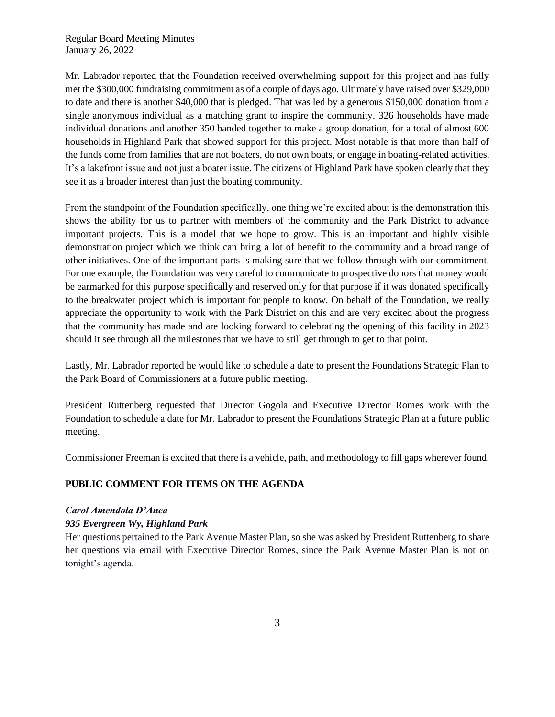Mr. Labrador reported that the Foundation received overwhelming support for this project and has fully met the \$300,000 fundraising commitment as of a couple of days ago. Ultimately have raised over \$329,000 to date and there is another \$40,000 that is pledged. That was led by a generous \$150,000 donation from a single anonymous individual as a matching grant to inspire the community. 326 households have made individual donations and another 350 banded together to make a group donation, for a total of almost 600 households in Highland Park that showed support for this project. Most notable is that more than half of the funds come from families that are not boaters, do not own boats, or engage in boating-related activities. It's a lakefront issue and not just a boater issue. The citizens of Highland Park have spoken clearly that they see it as a broader interest than just the boating community.

From the standpoint of the Foundation specifically, one thing we're excited about is the demonstration this shows the ability for us to partner with members of the community and the Park District to advance important projects. This is a model that we hope to grow. This is an important and highly visible demonstration project which we think can bring a lot of benefit to the community and a broad range of other initiatives. One of the important parts is making sure that we follow through with our commitment. For one example, the Foundation was very careful to communicate to prospective donors that money would be earmarked for this purpose specifically and reserved only for that purpose if it was donated specifically to the breakwater project which is important for people to know. On behalf of the Foundation, we really appreciate the opportunity to work with the Park District on this and are very excited about the progress that the community has made and are looking forward to celebrating the opening of this facility in 2023 should it see through all the milestones that we have to still get through to get to that point.

Lastly, Mr. Labrador reported he would like to schedule a date to present the Foundations Strategic Plan to the Park Board of Commissioners at a future public meeting.

President Ruttenberg requested that Director Gogola and Executive Director Romes work with the Foundation to schedule a date for Mr. Labrador to present the Foundations Strategic Plan at a future public meeting.

Commissioner Freeman is excited that there is a vehicle, path, and methodology to fill gaps wherever found.

## **PUBLIC COMMENT FOR ITEMS ON THE AGENDA**

## *Carol Amendola D'Anca*

## *935 Evergreen Wy, Highland Park*

Her questions pertained to the Park Avenue Master Plan, so she was asked by President Ruttenberg to share her questions via email with Executive Director Romes, since the Park Avenue Master Plan is not on tonight's agenda.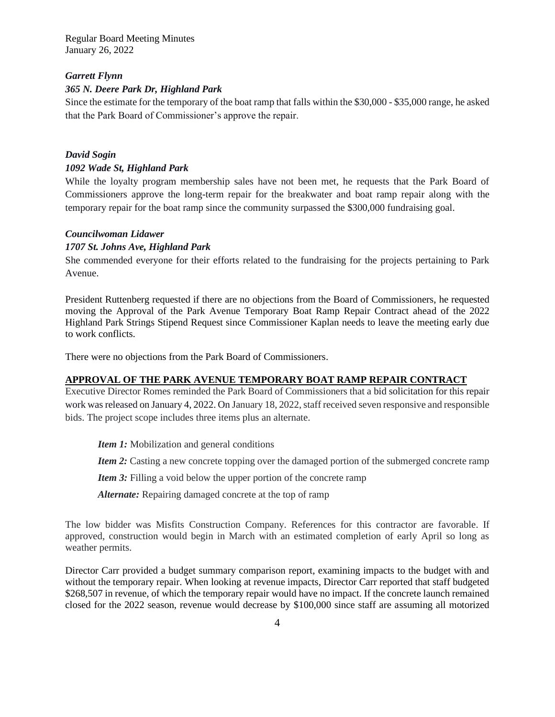### *Garrett Flynn*

## *365 N. Deere Park Dr, Highland Park*

Since the estimate for the temporary of the boat ramp that falls within the \$30,000 - \$35,000 range, he asked that the Park Board of Commissioner's approve the repair.

# *David Sogin 1092 Wade St, Highland Park*

While the loyalty program membership sales have not been met, he requests that the Park Board of Commissioners approve the long-term repair for the breakwater and boat ramp repair along with the temporary repair for the boat ramp since the community surpassed the \$300,000 fundraising goal.

## *Councilwoman Lidawer*

## *1707 St. Johns Ave, Highland Park*

She commended everyone for their efforts related to the fundraising for the projects pertaining to Park Avenue.

President Ruttenberg requested if there are no objections from the Board of Commissioners, he requested moving the Approval of the Park Avenue Temporary Boat Ramp Repair Contract ahead of the 2022 Highland Park Strings Stipend Request since Commissioner Kaplan needs to leave the meeting early due to work conflicts.

There were no objections from the Park Board of Commissioners.

#### **APPROVAL OF THE PARK AVENUE TEMPORARY BOAT RAMP REPAIR CONTRACT**

Executive Director Romes reminded the Park Board of Commissioners that a bid solicitation for this repair work was released on January 4, 2022. On January 18, 2022, staff received seven responsive and responsible bids. The project scope includes three items plus an alternate.

*Item 1:* Mobilization and general conditions

*Item 2:* Casting a new concrete topping over the damaged portion of the submerged concrete ramp

*Item 3:* Filling a void below the upper portion of the concrete ramp

*Alternate:* Repairing damaged concrete at the top of ramp

The low bidder was Misfits Construction Company. References for this contractor are favorable. If approved, construction would begin in March with an estimated completion of early April so long as weather permits.

Director Carr provided a budget summary comparison report, examining impacts to the budget with and without the temporary repair. When looking at revenue impacts, Director Carr reported that staff budgeted \$268,507 in revenue, of which the temporary repair would have no impact. If the concrete launch remained closed for the 2022 season, revenue would decrease by \$100,000 since staff are assuming all motorized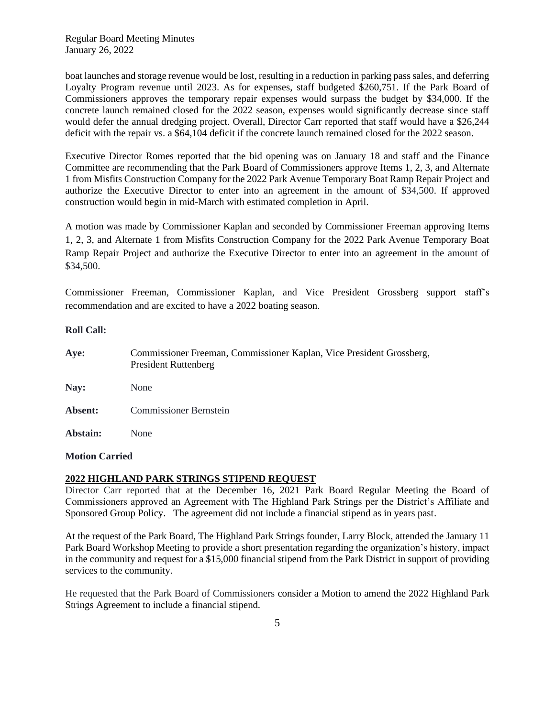boat launches and storage revenue would be lost, resulting in a reduction in parking pass sales, and deferring Loyalty Program revenue until 2023. As for expenses, staff budgeted \$260,751. If the Park Board of Commissioners approves the temporary repair expenses would surpass the budget by \$34,000. If the concrete launch remained closed for the 2022 season, expenses would significantly decrease since staff would defer the annual dredging project. Overall, Director Carr reported that staff would have a \$26,244 deficit with the repair vs. a \$64,104 deficit if the concrete launch remained closed for the 2022 season.

Executive Director Romes reported that the bid opening was on January 18 and staff and the Finance Committee are recommending that the Park Board of Commissioners approve Items 1, 2, 3, and Alternate 1 from Misfits Construction Company for the 2022 Park Avenue Temporary Boat Ramp Repair Project and authorize the Executive Director to enter into an agreement in the amount of \$34,500. If approved construction would begin in mid-March with estimated completion in April.

A motion was made by Commissioner Kaplan and seconded by Commissioner Freeman approving Items 1, 2, 3, and Alternate 1 from Misfits Construction Company for the 2022 Park Avenue Temporary Boat Ramp Repair Project and authorize the Executive Director to enter into an agreement in the amount of \$34,500.

Commissioner Freeman, Commissioner Kaplan, and Vice President Grossberg support staff's recommendation and are excited to have a 2022 boating season.

### **Roll Call:**

| Aye:     | Commissioner Freeman, Commissioner Kaplan, Vice President Grossberg,<br><b>President Ruttenberg</b> |
|----------|-----------------------------------------------------------------------------------------------------|
| Nay:     | None                                                                                                |
| Absent:  | <b>Commissioner Bernstein</b>                                                                       |
| Abstain: | None                                                                                                |

#### **Motion Carried**

## **2022 HIGHLAND PARK STRINGS STIPEND REQUEST**

Director Carr reported that at the December 16, 2021 Park Board Regular Meeting the Board of Commissioners approved an Agreement with The Highland Park Strings per the District's Affiliate and Sponsored Group Policy. The agreement did not include a financial stipend as in years past.

At the request of the Park Board, The Highland Park Strings founder, Larry Block, attended the January 11 Park Board Workshop Meeting to provide a short presentation regarding the organization's history, impact in the community and request for a \$15,000 financial stipend from the Park District in support of providing services to the community.

He requested that the Park Board of Commissioners consider a Motion to amend the 2022 Highland Park Strings Agreement to include a financial stipend.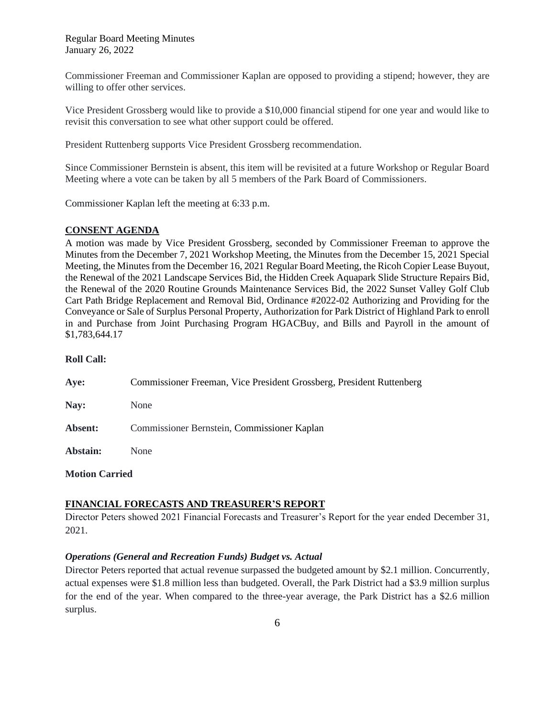Commissioner Freeman and Commissioner Kaplan are opposed to providing a stipend; however, they are willing to offer other services.

Vice President Grossberg would like to provide a \$10,000 financial stipend for one year and would like to revisit this conversation to see what other support could be offered.

President Ruttenberg supports Vice President Grossberg recommendation.

Since Commissioner Bernstein is absent, this item will be revisited at a future Workshop or Regular Board Meeting where a vote can be taken by all 5 members of the Park Board of Commissioners.

Commissioner Kaplan left the meeting at 6:33 p.m.

#### **CONSENT AGENDA**

A motion was made by Vice President Grossberg, seconded by Commissioner Freeman to approve the Minutes from the December 7, 2021 Workshop Meeting, the Minutes from the December 15, 2021 Special Meeting, the Minutes from the December 16, 2021 Regular Board Meeting, the Ricoh Copier Lease Buyout, the Renewal of the 2021 Landscape Services Bid, the Hidden Creek Aquapark Slide Structure Repairs Bid, the Renewal of the 2020 Routine Grounds Maintenance Services Bid, the 2022 Sunset Valley Golf Club Cart Path Bridge Replacement and Removal Bid, Ordinance #2022-02 Authorizing and Providing for the Conveyance or Sale of Surplus Personal Property, Authorization for Park District of Highland Park to enroll in and Purchase from Joint Purchasing Program HGACBuy, and Bills and Payroll in the amount of \$1,783,644.17

#### **Roll Call:**

| Aye:     | Commissioner Freeman, Vice President Grossberg, President Ruttenberg |
|----------|----------------------------------------------------------------------|
| Nay:     | None                                                                 |
| Absent:  | Commissioner Bernstein, Commissioner Kaplan                          |
| Abstain: | None                                                                 |
|          |                                                                      |

**Motion Carried**

## **FINANCIAL FORECASTS AND TREASURER'S REPORT**

Director Peters showed 2021 Financial Forecasts and Treasurer's Report for the year ended December 31, 2021.

#### *Operations (General and Recreation Funds) Budget vs. Actual*

Director Peters reported that actual revenue surpassed the budgeted amount by \$2.1 million. Concurrently, actual expenses were \$1.8 million less than budgeted. Overall, the Park District had a \$3.9 million surplus for the end of the year. When compared to the three-year average, the Park District has a \$2.6 million surplus.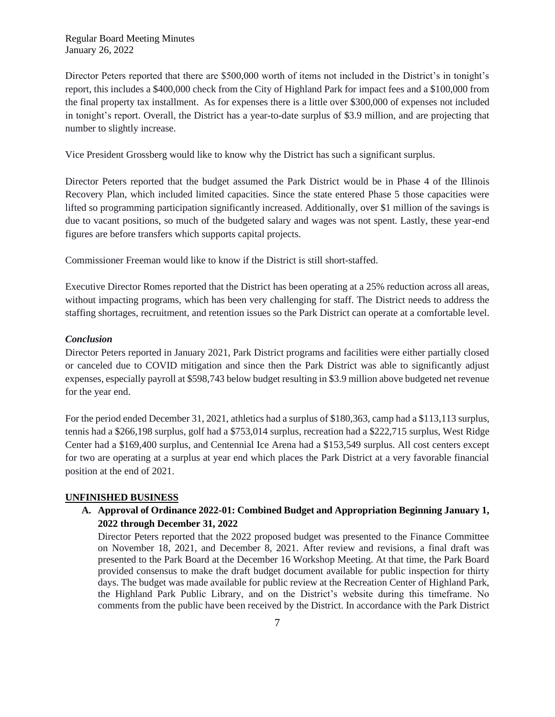Director Peters reported that there are \$500,000 worth of items not included in the District's in tonight's report, this includes a \$400,000 check from the City of Highland Park for impact fees and a \$100,000 from the final property tax installment. As for expenses there is a little over \$300,000 of expenses not included in tonight's report. Overall, the District has a year-to-date surplus of \$3.9 million, and are projecting that number to slightly increase.

Vice President Grossberg would like to know why the District has such a significant surplus.

Director Peters reported that the budget assumed the Park District would be in Phase 4 of the Illinois Recovery Plan, which included limited capacities. Since the state entered Phase 5 those capacities were lifted so programming participation significantly increased. Additionally, over \$1 million of the savings is due to vacant positions, so much of the budgeted salary and wages was not spent. Lastly, these year-end figures are before transfers which supports capital projects.

Commissioner Freeman would like to know if the District is still short-staffed.

Executive Director Romes reported that the District has been operating at a 25% reduction across all areas, without impacting programs, which has been very challenging for staff. The District needs to address the staffing shortages, recruitment, and retention issues so the Park District can operate at a comfortable level.

### *Conclusion*

Director Peters reported in January 2021, Park District programs and facilities were either partially closed or canceled due to COVID mitigation and since then the Park District was able to significantly adjust expenses, especially payroll at \$598,743 below budget resulting in \$3.9 million above budgeted net revenue for the year end.

For the period ended December 31, 2021, athletics had a surplus of \$180,363, camp had a \$113,113 surplus, tennis had a \$266,198 surplus, golf had a \$753,014 surplus, recreation had a \$222,715 surplus, West Ridge Center had a \$169,400 surplus, and Centennial Ice Arena had a \$153,549 surplus. All cost centers except for two are operating at a surplus at year end which places the Park District at a very favorable financial position at the end of 2021.

#### **UNFINISHED BUSINESS**

**A. Approval of Ordinance 2022-01: Combined Budget and Appropriation Beginning January 1, 2022 through December 31, 2022**

Director Peters reported that the 2022 proposed budget was presented to the Finance Committee on November 18, 2021, and December 8, 2021. After review and revisions, a final draft was presented to the Park Board at the December 16 Workshop Meeting. At that time, the Park Board provided consensus to make the draft budget document available for public inspection for thirty days. The budget was made available for public review at the Recreation Center of Highland Park, the Highland Park Public Library, and on the District's website during this timeframe. No comments from the public have been received by the District. In accordance with the Park District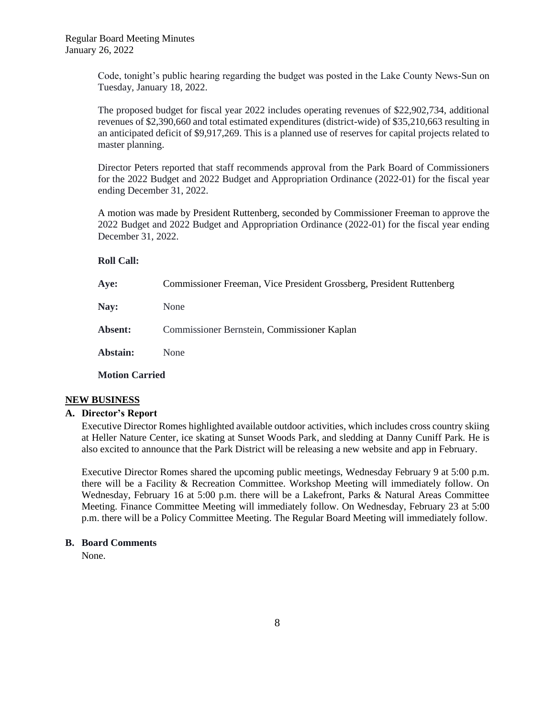Code, tonight's public hearing regarding the budget was posted in the Lake County News-Sun on Tuesday, January 18, 2022.

The proposed budget for fiscal year 2022 includes operating revenues of \$22,902,734, additional revenues of \$2,390,660 and total estimated expenditures (district-wide) of \$35,210,663 resulting in an anticipated deficit of \$9,917,269. This is a planned use of reserves for capital projects related to master planning.

Director Peters reported that staff recommends approval from the Park Board of Commissioners for the 2022 Budget and 2022 Budget and Appropriation Ordinance (2022-01) for the fiscal year ending December 31, 2022.

A motion was made by President Ruttenberg, seconded by Commissioner Freeman to approve the 2022 Budget and 2022 Budget and Appropriation Ordinance (2022-01) for the fiscal year ending December 31, 2022.

### **Roll Call:**

| Aye:                  | Commissioner Freeman, Vice President Grossberg, President Ruttenberg |
|-----------------------|----------------------------------------------------------------------|
| Nay:                  | None                                                                 |
| <b>Absent:</b>        | Commissioner Bernstein, Commissioner Kaplan                          |
| Abstain:              | None                                                                 |
| <b>Motion Carried</b> |                                                                      |
|                       |                                                                      |

## **NEW BUSINESS**

## **A. Director's Report**

Executive Director Romes highlighted available outdoor activities, which includes cross country skiing at Heller Nature Center, ice skating at Sunset Woods Park, and sledding at Danny Cuniff Park. He is also excited to announce that the Park District will be releasing a new website and app in February.

Executive Director Romes shared the upcoming public meetings, Wednesday February 9 at 5:00 p.m. there will be a Facility & Recreation Committee. Workshop Meeting will immediately follow. On Wednesday, February 16 at 5:00 p.m. there will be a Lakefront, Parks & Natural Areas Committee Meeting. Finance Committee Meeting will immediately follow. On Wednesday, February 23 at 5:00 p.m. there will be a Policy Committee Meeting. The Regular Board Meeting will immediately follow.

### **B. Board Comments**

None.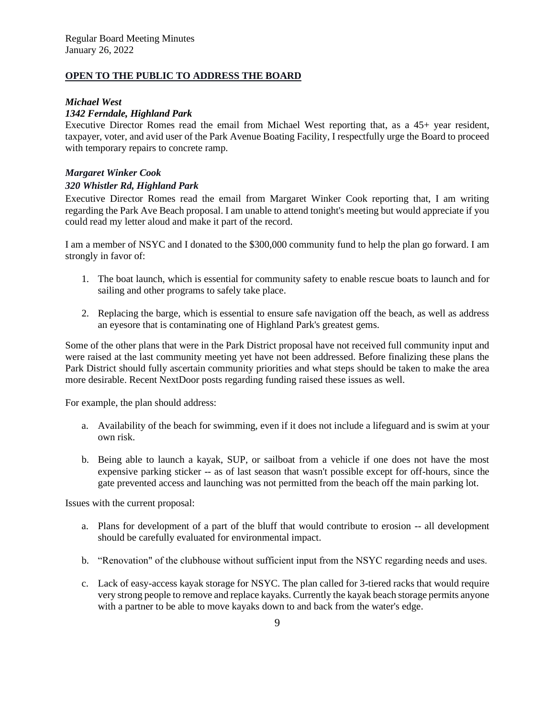## **OPEN TO THE PUBLIC TO ADDRESS THE BOARD**

## *Michael West*

## *1342 Ferndale, Highland Park*

Executive Director Romes read the email from Michael West reporting that, as a 45+ year resident, taxpayer, voter, and avid user of the Park Avenue Boating Facility, I respectfully urge the Board to proceed with temporary repairs to concrete ramp.

### *Margaret Winker Cook*

### *320 Whistler Rd, Highland Park*

Executive Director Romes read the email from Margaret Winker Cook reporting that, I am writing regarding the Park Ave Beach proposal. I am unable to attend tonight's meeting but would appreciate if you could read my letter aloud and make it part of the record.

I am a member of NSYC and I donated to the \$300,000 community fund to help the plan go forward. I am strongly in favor of:

- 1. The boat launch, which is essential for community safety to enable rescue boats to launch and for sailing and other programs to safely take place.
- 2. Replacing the barge, which is essential to ensure safe navigation off the beach, as well as address an eyesore that is contaminating one of Highland Park's greatest gems.

Some of the other plans that were in the Park District proposal have not received full community input and were raised at the last community meeting yet have not been addressed. Before finalizing these plans the Park District should fully ascertain community priorities and what steps should be taken to make the area more desirable. Recent NextDoor posts regarding funding raised these issues as well.

For example, the plan should address:

- a. Availability of the beach for swimming, even if it does not include a lifeguard and is swim at your own risk.
- b. Being able to launch a kayak, SUP, or sailboat from a vehicle if one does not have the most expensive parking sticker -- as of last season that wasn't possible except for off-hours, since the gate prevented access and launching was not permitted from the beach off the main parking lot.

Issues with the current proposal:

- a. Plans for development of a part of the bluff that would contribute to erosion -- all development should be carefully evaluated for environmental impact.
- b. "Renovation" of the clubhouse without sufficient input from the NSYC regarding needs and uses.
- c. Lack of easy-access kayak storage for NSYC. The plan called for 3-tiered racks that would require very strong people to remove and replace kayaks. Currently the kayak beach storage permits anyone with a partner to be able to move kayaks down to and back from the water's edge.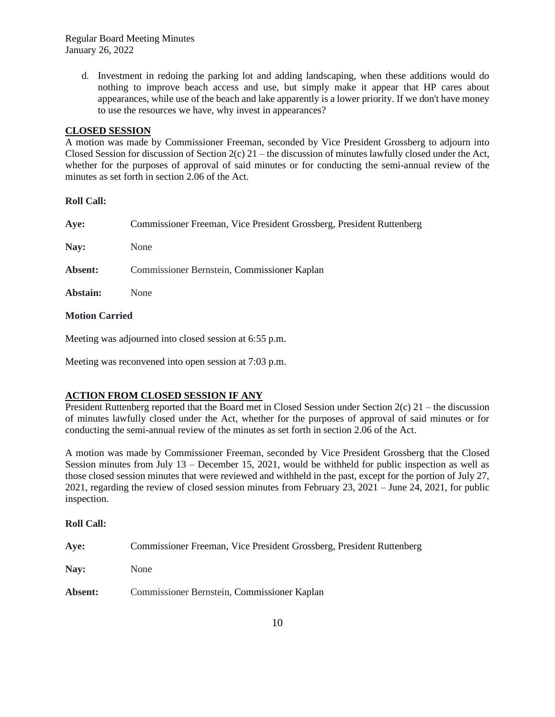d. Investment in redoing the parking lot and adding landscaping, when these additions would do nothing to improve beach access and use, but simply make it appear that HP cares about appearances, while use of the beach and lake apparently is a lower priority. If we don't have money to use the resources we have, why invest in appearances?

## **CLOSED SESSION**

A motion was made by Commissioner Freeman, seconded by Vice President Grossberg to adjourn into Closed Session for discussion of Section 2(c) 21 – the discussion of minutes lawfully closed under the Act, whether for the purposes of approval of said minutes or for conducting the semi-annual review of the minutes as set forth in section 2.06 of the Act.

### **Roll Call:**

| Aye:     | Commissioner Freeman, Vice President Grossberg, President Ruttenberg |
|----------|----------------------------------------------------------------------|
| Nay:     | None                                                                 |
| Absent:  | Commissioner Bernstein, Commissioner Kaplan                          |
| Abstain: | None                                                                 |
|          |                                                                      |

## **Motion Carried**

Meeting was adjourned into closed session at 6:55 p.m.

Meeting was reconvened into open session at 7:03 p.m.

# **ACTION FROM CLOSED SESSION IF ANY**

President Ruttenberg reported that the Board met in Closed Session under Section 2(c) 21 – the discussion of minutes lawfully closed under the Act, whether for the purposes of approval of said minutes or for conducting the semi-annual review of the minutes as set forth in section 2.06 of the Act.

A motion was made by Commissioner Freeman, seconded by Vice President Grossberg that the Closed Session minutes from July 13 – December 15, 2021, would be withheld for public inspection as well as those closed session minutes that were reviewed and withheld in the past, except for the portion of July 27, 2021, regarding the review of closed session minutes from February 23, 2021 – June 24, 2021, for public inspection.

#### **Roll Call:**

| Ave:           | Commissioner Freeman, Vice President Grossberg, President Ruttenberg |
|----------------|----------------------------------------------------------------------|
| <b>Nav:</b>    | None                                                                 |
| <b>Absent:</b> | Commissioner Bernstein, Commissioner Kaplan                          |